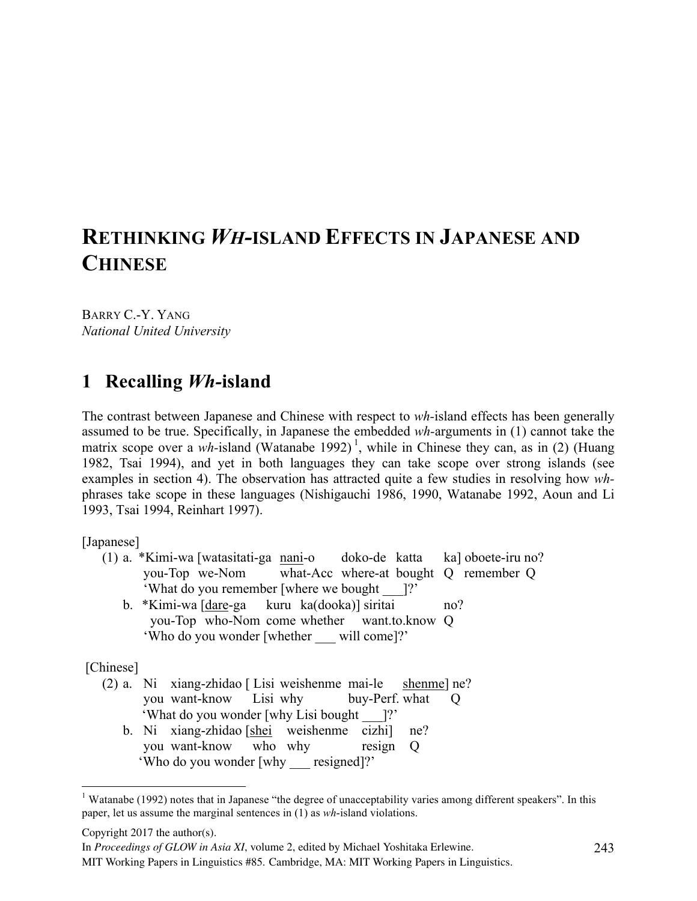# **RETHINKING** *WH-***ISLAND EFFECTS IN JAPANESE AND CHINESE**

BARRY C.-Y. YANG *National United University*

## **1** Recalling *Wh*-island

The contrast between Japanese and Chinese with respect to *wh-*island effects has been generally assumed to be true. Specifically, in Japanese the embedded *wh-*arguments in (1) cannot take the matrix scope over a *wh*-island (Watanabe 1992)<sup>1</sup>, while in Chinese they can, as in (2) (Huang 1982, Tsai 1994), and yet in both languages they can take scope over strong islands (see examples in section 4). The observation has attracted quite a few studies in resolving how *wh*phrases take scope in these languages (Nishigauchi 1986, 1990, Watanabe 1992, Aoun and Li 1993, Tsai 1994, Reinhart 1997).

[Japanese]

- (1) a. \*Kimi-wa [watasitati-ga nani-o doko-de katta ka] oboete-iru no? you-Top we-Nom what-Acc where-at bought Q remember Q 'What do you remember [where we bought \_\_\_]?'
	- b. \*Kimi-wa [dare-ga kuru ka(dooka)] siritai no? you-Top who-Nom come whether want.to.know Q 'Who do you wonder [whether \_\_\_ will come]?'

[Chinese]

(2) a. Ni xiang-zhidao [ Lisi weishenme mai-le shenme] ne? you want-know Lisi why buy-Perf. what Q 'What do you wonder [why Lisi bought \_\_\_]?' b. Ni xiang-zhidao [shei weishenme cizhi] ne? you want-know who why resign Q 'Who do you wonder [why \_\_\_ resigned]?'

Copyright 2017 the author(s).

In *Proceedings of GLOW in Asia XI*, volume 2, edited by Michael Yoshitaka Erlewine.

<sup>&</sup>lt;sup>1</sup> Watanabe (1992) notes that in Japanese "the degree of unacceptability varies among different speakers". In this paper, let us assume the marginal sentences in (1) as *wh*-island violations.

MIT Working Papers in Linguistics #85. Cambridge, MA: MIT Working Papers in Linguistics.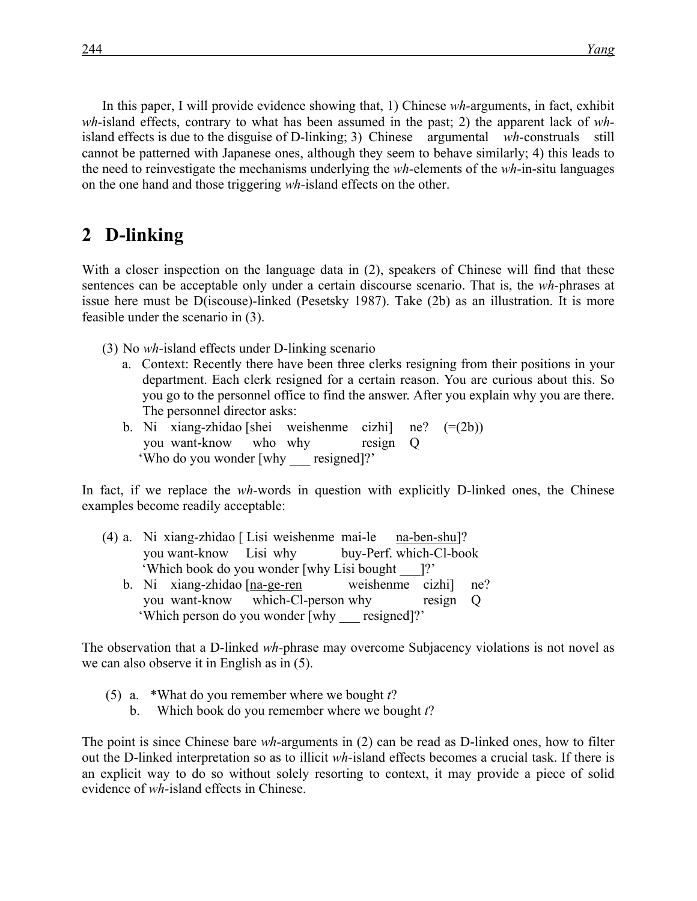In this paper, I will provide evidence showing that, 1) Chinese *wh-*arguments, in fact, exhibit *wh-*island effects, contrary to what has been assumed in the past; 2) the apparent lack of *wh*island effects is due to the disguise of D-linking; 3) Chinese argumental *wh-*construals still cannot be patterned with Japanese ones, although they seem to behave similarly; 4) this leads to the need to reinvestigate the mechanisms underlying the *wh-*elements of the *wh-*in-situ languages on the one hand and those triggering *wh-*island effects on the other.

## 2 **D**-linking

With a closer inspection on the language data in (2), speakers of Chinese will find that these sentences can be acceptable only under a certain discourse scenario. That is, the *wh-*phrases at issue here must be D(iscouse)-linked (Pesetsky 1987). Take (2b) as an illustration. It is more feasible under the scenario in (3).

- (3) No *wh-*island effects under D-linking scenario
	- a. Context: Recently there have been three clerks resigning from their positions in your department. Each clerk resigned for a certain reason. You are curious about this. So you go to the personnel office to find the answer. After you explain why you are there. The personnel director asks:
	- b. Ni xiang-zhidao [shei weishenme cizhi] ne? (=(2b)) you want-know who why resign Q 'Who do you wonder [why \_\_\_ resigned]?'

In fact, if we replace the *wh-*words in question with explicitly D-linked ones, the Chinese examples become readily acceptable:

- (4) a. Ni xiang-zhidao [ Lisi weishenme mai-le na-ben-shu]? you want-know Lisi why buy-Perf. which-Cl-book 'Which book do you wonder [why Lisi bought \_\_\_]?'
	- b. Ni xiang-zhidao [na-ge-ren weishenme cizhi] ne? you want-know which-Cl-person why resign Q 'Which person do you wonder [why \_\_\_ resigned]?'

The observation that a D-linked *wh-*phrase may overcome Subjacency violations is not novel as we can also observe it in English as in (5).

- (5) a. \*What do you remember where we bought *t*?
	- b. Which book do you remember where we bought *t*?

The point is since Chinese bare *wh-*arguments in (2) can be read as D-linked ones, how to filter out the D-linked interpretation so as to illicit *wh-*island effects becomes a crucial task. If there is an explicit way to do so without solely resorting to context, it may provide a piece of solid evidence of *wh-*island effects in Chinese.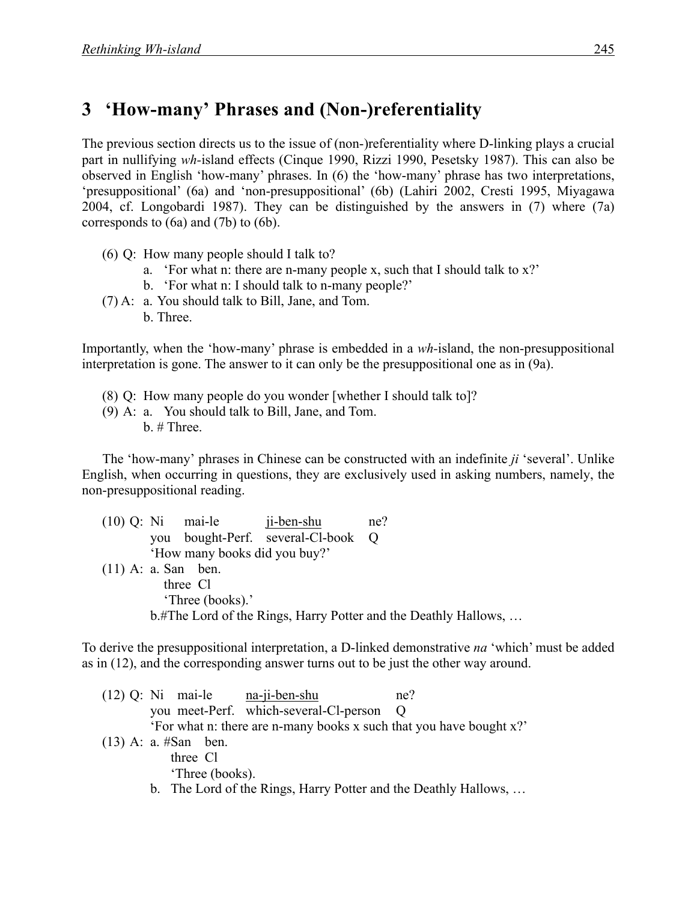## **3**xx**'How-many' Phrases and (Non-)referentiality**

The previous section directs us to the issue of (non-)referentiality where D-linking plays a crucial part in nullifying *wh-*island effects (Cinque 1990, Rizzi 1990, Pesetsky 1987). This can also be observed in English 'how-many' phrases. In (6) the 'how-many' phrase has two interpretations, 'presuppositional' (6a) and 'non-presuppositional' (6b) (Lahiri 2002, Cresti 1995, Miyagawa 2004, cf. Longobardi 1987). They can be distinguished by the answers in (7) where (7a) corresponds to (6a) and (7b) to (6b).

- (6) Q: How many people should I talk to?
	- a. 'For what n: there are n-many people x, such that I should talk to x?'
	- b. 'For what n: I should talk to n-many people?'
- (7) A: a. You should talk to Bill, Jane, and Tom.
	- b. Three.

Importantly, when the 'how-many' phrase is embedded in a *wh-*island, the non-presuppositional interpretation is gone. The answer to it can only be the presuppositional one as in (9a).

- (8) Q: How many people do you wonder [whether I should talk to]?
- (9) A: a. You should talk to Bill, Jane, and Tom. b. # Three.

The 'how-many' phrases in Chinese can be constructed with an indefinite *ji* 'several'. Unlike English, when occurring in questions, they are exclusively used in asking numbers, namely, the non-presuppositional reading.

|  |     | $(10)$ Q: Ni mai-le ji-ben-shu |                                | ne?                                                             |
|--|-----|--------------------------------|--------------------------------|-----------------------------------------------------------------|
|  | vou |                                | bought-Perf. several-Cl-book Q |                                                                 |
|  |     | 'How many books did you buy?'  |                                |                                                                 |
|  |     | $(11)$ A: a. San ben.          |                                |                                                                 |
|  |     | three Cl                       |                                |                                                                 |
|  |     | 'Three (books).'               |                                |                                                                 |
|  |     |                                |                                | b.#The Lord of the Rings, Harry Potter and the Deathly Hallows, |
|  |     |                                |                                |                                                                 |

To derive the presuppositional interpretation, a D-linked demonstrative *na* 'which' must be added as in (12), and the corresponding answer turns out to be just the other way around.

|  |                        | $(12)$ Q: Ni mai-le na-ji-ben-shu                                   | ne?        |
|--|------------------------|---------------------------------------------------------------------|------------|
|  |                        | you meet-Perf. which-several-Cl-person                              | $\bigcirc$ |
|  |                        | 'For what n: there are n-many books x such that you have bought x?' |            |
|  | $(13)$ A: a. #San ben. |                                                                     |            |
|  | three Cl               |                                                                     |            |
|  | Three (books).         |                                                                     |            |
|  |                        | b. The Lord of the Rings, Harry Potter and the Deathly Hallows,     |            |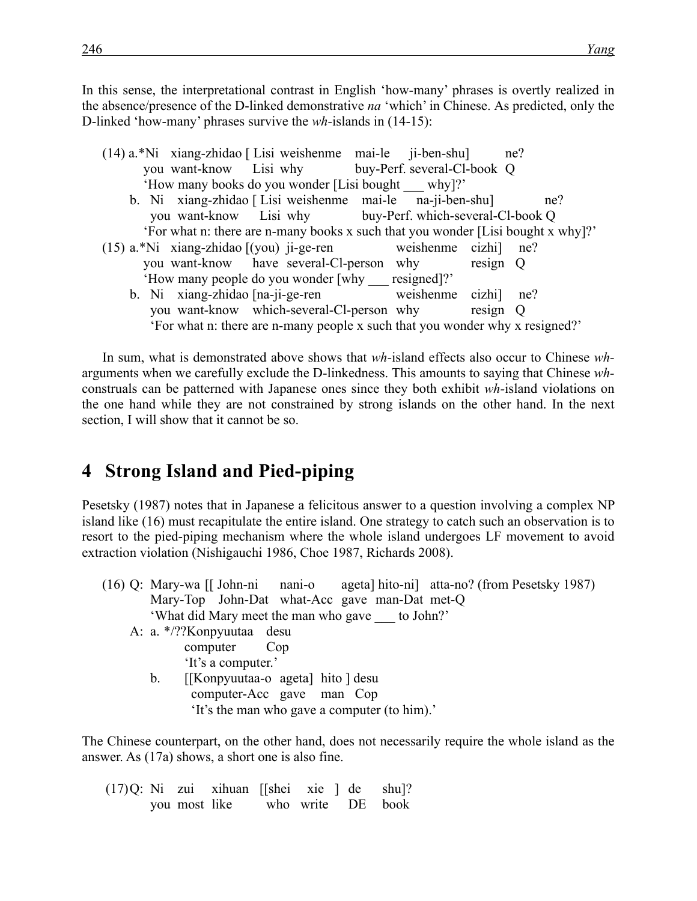In this sense, the interpretational contrast in English 'how-many' phrases is overtly realized in the absence/presence of the D-linked demonstrative *na* 'which' in Chinese. As predicted, only the D-linked 'how-many' phrases survive the *wh-*islands in (14-15):

|  | (14) a.*Ni xiang-zhidao [Lisi weishenme mai-le ji-ben-shu] ne?                   |  |          |     |
|--|----------------------------------------------------------------------------------|--|----------|-----|
|  | you want-know Lisi why buy-Perf. several-Cl-book Q                               |  |          |     |
|  | 'How many books do you wonder [Lisi bought why]?'                                |  |          |     |
|  | b. Ni xiang-zhidao [Lisi weishenme mai-le na-ji-ben-shu]                         |  |          | ne? |
|  | you want-know Lisi why buy-Perf. which-several-Cl-book Q                         |  |          |     |
|  | 'For what n: there are n-many books x such that you wonder [Lisi bought x why]?' |  |          |     |
|  | $(15)$ a.*Ni xiang-zhidao $[(you)$ ji-ge-ren weishenme cizhi $]$ ne?             |  |          |     |
|  | you want-know have several-Cl-person why resign Q                                |  |          |     |
|  | 'How many people do you wonder [why resigned]?'                                  |  |          |     |
|  | b. Ni xiang-zhidao [na-ji-ge-ren weishenme cizhi] ne?                            |  |          |     |
|  | you want-know which-several-Cl-person why                                        |  | resign Q |     |
|  | 'For what n: there are n-many people x such that you wonder why x resigned?'     |  |          |     |

In sum, what is demonstrated above shows that *wh-*island effects also occur to Chinese *wh*arguments when we carefully exclude the D-linkedness. This amounts to saying that Chinese *wh*construals can be patterned with Japanese ones since they both exhibit *wh-*island violations on the one hand while they are not constrained by strong islands on the other hand. In the next section, I will show that it cannot be so.

## **4**xx**Strong Island and Pied-piping**

Pesetsky (1987) notes that in Japanese a felicitous answer to a question involving a complex NP island like (16) must recapitulate the entire island. One strategy to catch such an observation is to resort to the pied-piping mechanism where the whole island undergoes LF movement to avoid extraction violation (Nishigauchi 1986, Choe 1987, Richards 2008).

- (16) Q: Mary-wa [[ John-ni nani-o ageta] hito-ni] atta-no? (from Pesetsky 1987) Mary-Top John-Dat what-Acc gave man-Dat met-Q 'What did Mary meet the man who gave \_\_\_ to John?'
	- A: a. \*/??Konpyuutaa desu computer Cop 'It's a computer.'
		- b. [[Konpyuutaa-o ageta] hito ] desu computer-Acc gave man Cop 'It's the man who gave a computer (to him).'

The Chinese counterpart, on the other hand, does not necessarily require the whole island as the answer. As (17a) shows, a short one is also fine.

 $(17)Q$ : Ni zui xihuan ||shei xie | de shu|? you most like who write DE book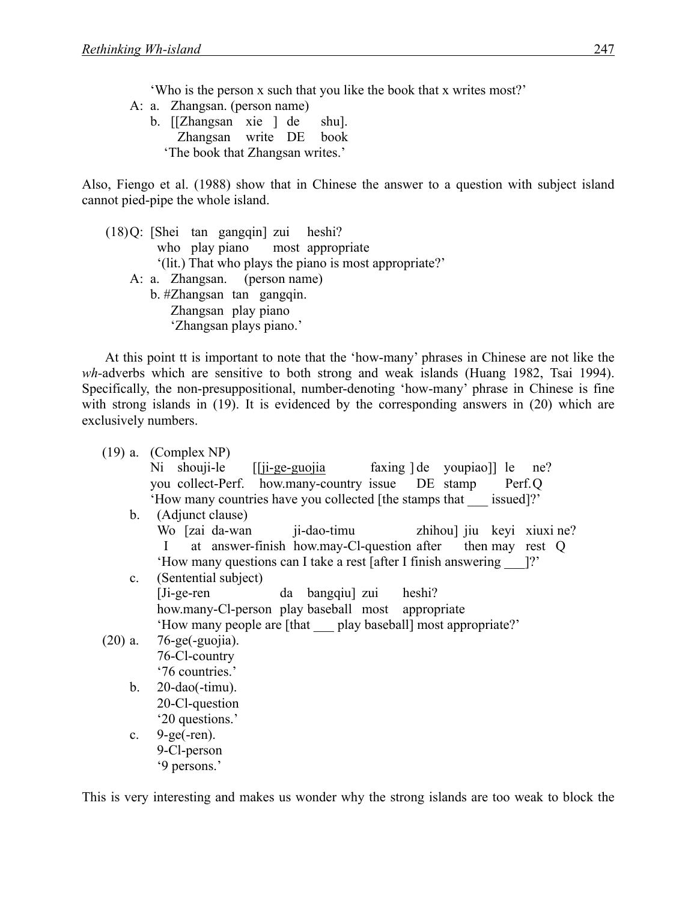'Who is the person x such that you like the book that x writes most?'

- A: a. Zhangsan. (person name)
	- b. [[Zhangsan xie ] de shu]. Zhangsan write DE book 'The book that Zhangsan writes.'

Also, Fiengo et al. (1988) show that in Chinese the answer to a question with subject island cannot pied-pipe the whole island.

(18)Q: [Shei tan gangqin] zui heshi? who play piano most appropriate '(lit.) That who plays the piano is most appropriate?' A: a. Zhangsan. (person name) b. #Zhangsan tan gangqin. Zhangsan play piano 'Zhangsan plays piano.'

At this point tt is important to note that the 'how-many' phrases in Chinese are not like the *wh-*adverbs which are sensitive to both strong and weak islands (Huang 1982, Tsai 1994). Specifically, the non-presuppositional, number-denoting 'how-many' phrase in Chinese is fine with strong islands in (19). It is evidenced by the corresponding answers in (20) which are exclusively numbers.

|                | $(19)$ a. (Complex NP)                                                     |  |  |  |  |  |  |
|----------------|----------------------------------------------------------------------------|--|--|--|--|--|--|
|                | Ni shouji-le [[ji-ge-guojia faxing ] de youpiao]] le ne?                   |  |  |  |  |  |  |
|                | you collect-Perf. how.many-country issue DE stamp Perf.Q                   |  |  |  |  |  |  |
|                | 'How many countries have you collected [the stamps that issued]?'          |  |  |  |  |  |  |
|                | b. (Adjunct clause)                                                        |  |  |  |  |  |  |
|                | Wo [zai da-wan ji-dao-timu zhihou] jiu keyi xiuxi ne?                      |  |  |  |  |  |  |
|                | at answer-finish how.may-Cl-question after then may rest Q<br>$\mathbf{I}$ |  |  |  |  |  |  |
|                | 'How many questions can I take a rest [after I finish answering [?'        |  |  |  |  |  |  |
| $\mathbf{c}$ . | (Sentential subject)                                                       |  |  |  |  |  |  |
|                | $[Ji-ge-ren]$<br>da bangqiu zui heshi?                                     |  |  |  |  |  |  |
|                | how.many-Cl-person play baseball most appropriate                          |  |  |  |  |  |  |
|                | 'How many people are [that play baseball] most appropriate?'               |  |  |  |  |  |  |
|                | $(20)$ a. 76-ge(-guojia).                                                  |  |  |  |  |  |  |
|                | 76-Cl-country                                                              |  |  |  |  |  |  |
|                | '76 countries.'                                                            |  |  |  |  |  |  |
| b.             | $20$ -dao(-timu).                                                          |  |  |  |  |  |  |
|                | 20-Cl-question                                                             |  |  |  |  |  |  |
|                | '20 questions.'                                                            |  |  |  |  |  |  |
| $c_{\cdot}$    | $9-ge(-ren)$ .                                                             |  |  |  |  |  |  |
|                | 9-Cl-person                                                                |  |  |  |  |  |  |
|                | '9 persons.'                                                               |  |  |  |  |  |  |

This is very interesting and makes us wonder why the strong islands are too weak to block the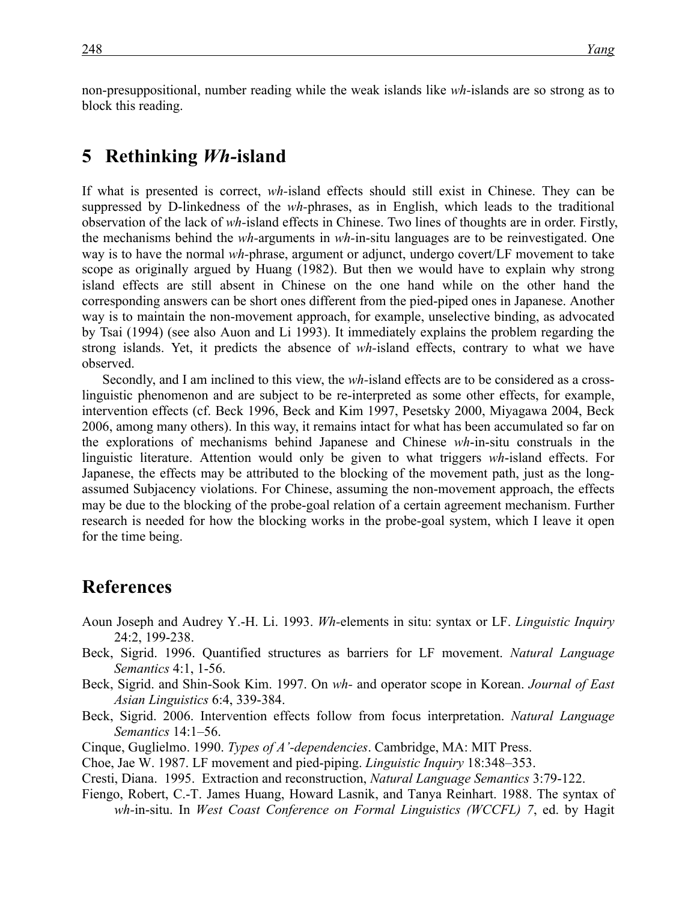non-presuppositional, number reading while the weak islands like *wh-*islands are so strong as to block this reading.

#### **5**xx**Rethinking** *Wh-***island**

If what is presented is correct, *wh-*island effects should still exist in Chinese. They can be suppressed by D-linkedness of the *wh-*phrases, as in English, which leads to the traditional observation of the lack of *wh-*island effects in Chinese. Two lines of thoughts are in order. Firstly, the mechanisms behind the *wh-*arguments in *wh-*in-situ languages are to be reinvestigated. One way is to have the normal *wh-*phrase, argument or adjunct, undergo covert/LF movement to take scope as originally argued by Huang (1982). But then we would have to explain why strong island effects are still absent in Chinese on the one hand while on the other hand the corresponding answers can be short ones different from the pied-piped ones in Japanese. Another way is to maintain the non-movement approach, for example, unselective binding, as advocated by Tsai (1994) (see also Auon and Li 1993). It immediately explains the problem regarding the strong islands. Yet, it predicts the absence of *wh-*island effects, contrary to what we have observed.

Secondly, and I am inclined to this view, the *wh-*island effects are to be considered as a crosslinguistic phenomenon and are subject to be re-interpreted as some other effects, for example, intervention effects (cf. Beck 1996, Beck and Kim 1997, Pesetsky 2000, Miyagawa 2004, Beck 2006, among many others). In this way, it remains intact for what has been accumulated so far on the explorations of mechanisms behind Japanese and Chinese *wh*-in-situ construals in the linguistic literature. Attention would only be given to what triggers *wh*-island effects. For Japanese, the effects may be attributed to the blocking of the movement path, just as the longassumed Subjacency violations. For Chinese, assuming the non-movement approach, the effects may be due to the blocking of the probe-goal relation of a certain agreement mechanism. Further research is needed for how the blocking works in the probe-goal system, which I leave it open for the time being.

## **References**

- Aoun Joseph and Audrey Y.-H. Li. 1993. *Wh-*elements in situ: syntax or LF. *Linguistic Inquiry* 24:2, 199-238.
- Beck, Sigrid. 1996. Quantified structures as barriers for LF movement. *Natural Language Semantics* 4:1, 1-56.
- Beck, Sigrid. and Shin-Sook Kim. 1997. On *wh-* and operator scope in Korean. *Journal of East Asian Linguistics* 6:4, 339-384.
- Beck, Sigrid. 2006. Intervention effects follow from focus interpretation. *Natural Language Semantics* 14:1–56.
- Cinque, Guglielmo. 1990. *Types of A'-dependencies*. Cambridge, MA: MIT Press.
- Choe, Jae W. 1987. LF movement and pied-piping. *Linguistic Inquiry* 18:348–353.
- Cresti, Diana. 1995. Extraction and reconstruction, *Natural Language Semantics* 3:79-122.
- Fiengo, Robert, C.-T. James Huang, Howard Lasnik, and Tanya Reinhart. 1988. The syntax of *wh-*in-situ. In *West Coast Conference on Formal Linguistics (WCCFL) 7*, ed. by Hagit